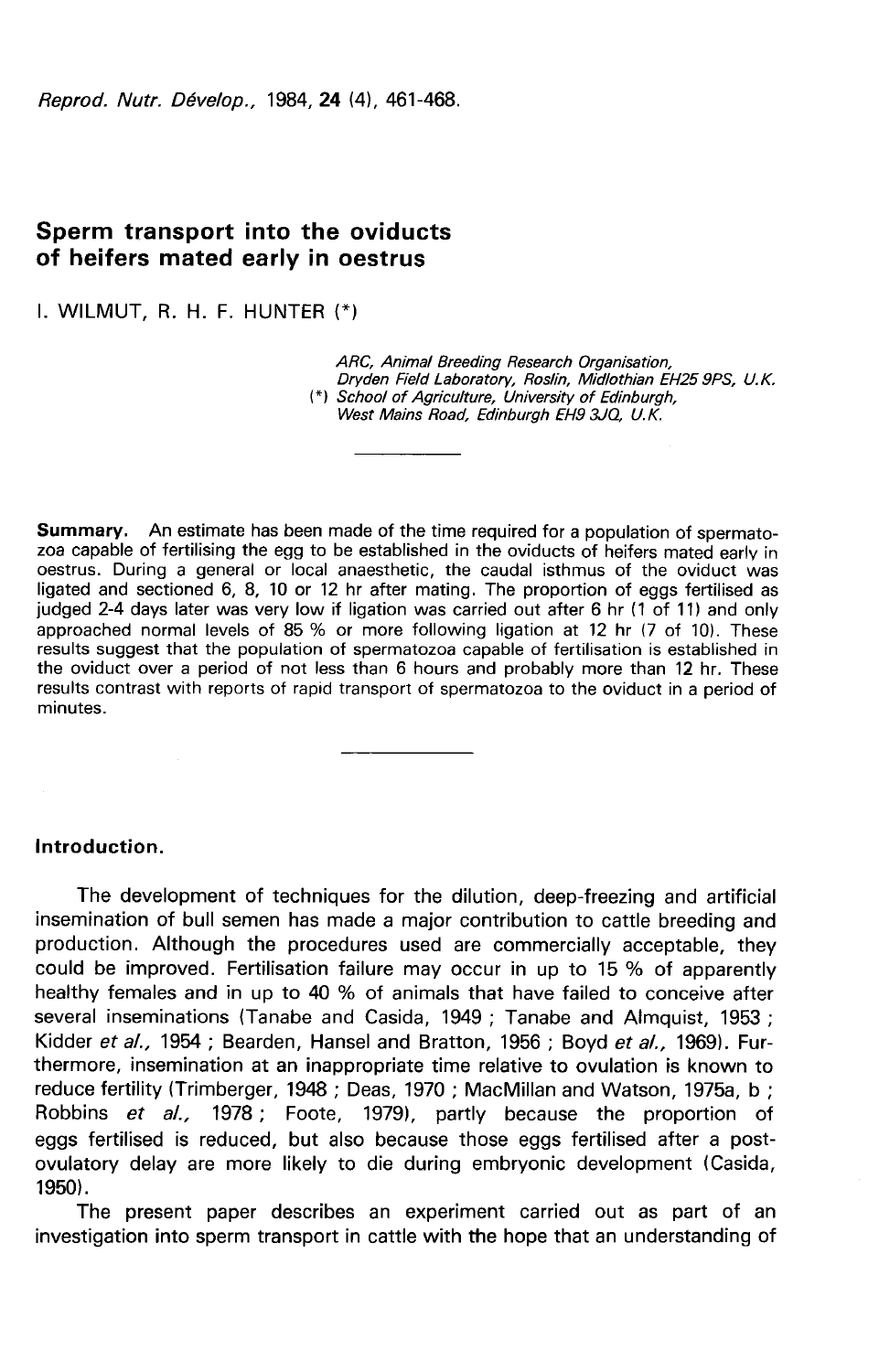Reprod, Nutr. Dévelop., 1984, 24 (4), 461-468.

# Sperm transport into the oviducts of heifers mated early in oestrus

I. WILMUT, R. H. F. HUNTER

ARC, Animal Breeding Research Organisation, Dryden Field Laboratory, Roslin, Midlothian EH25 9PS, U.K.<br>(\*) School of Agriculture, University of Edinburgh, West Mains Road, Edinburgh EH9 3JQ, U.K.

**Summary.** An estimate has been made of the time required for a population of spermato-<br>zoa capable of fertilising the egg to be established in the oviducts of heifers mated early in oestrus. During a general or local anaesthetic, the caudal isthmus of the oviduct was ligated and sectioned 6, 8, 10 or 12 hr after mating. The proportion of eggs fertilised as judged 2-4 days later was very low if ligation was carried out after 6 hr (1 of 11) and only approached normal levels of 85 % or more following ligation at 12 hr (7 of 10). These results suggest that the population of spermatozoa capable of fertilisation is established in the oviduct over a period of not less than 6 hours and probably more than 12 hr. These results contrast with reports of rapid transport of spermatozoa to the oviduct in a period of minutes.

### Introduction.

The development of techniques for the dilution, deep-freezing and artificial insemination of bull semen has made a major contribution to cattle breeding and production. Although the procedures used are commercially acceptable, they could be improved. Fertilisation failure may occur in up to 15 % of apparently healthy females and in up to 40 % of animals that have failed to conceive after several inseminations (Tanabe and Casida, 1949 ; Tanabe and Almquist, 1953 ; Kidder et al., 1954; Bearden, Hansel and Bratton, 1956; Boyd et al., 1969). Furthermore, insemination at an inappropriate time relative to ovulation is known to reduce fertility (Trimberger, 1948 ; Deas, 1970 ; MacMillan and Watson, 1975a, b ; Robbins et al., 1978; Foote, 1979), partly because the proportion of eggs fertilised is reduced, but also because those eggs fertilised after a postovulatory delay are more likely to die during embryonic development (Casida, 1950).

The present paper describes an experiment carried out as part of an investigation into sperm transport in cattle with the hope that an understanding of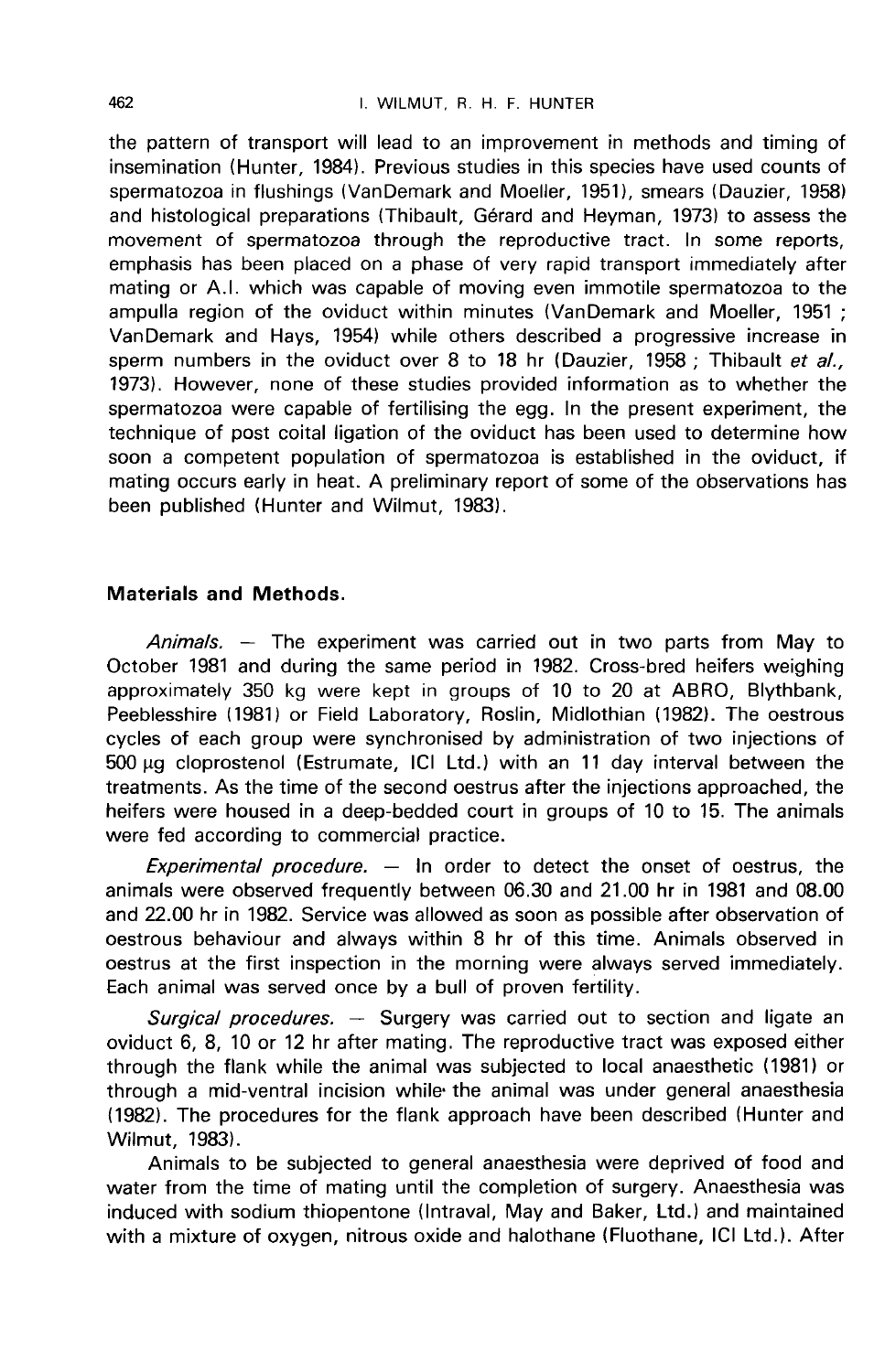the pattern of transport will lead to an improvement in methods and timing of insemination (Hunter, 1984). Previous studies in this species have used counts of spermatozoa in flushings (VanDemark and Moeller, 1951), smears (Dauzier, 1958) and histological preparations (Thibault, Gérard and Heyman, 1973) to assess the movement of spermatozoa through the reproductive tract. In some reports, emphasis has been placed on a phase of very rapid transport immediately after mating or A.I. which was capable of moving even immotile spermatozoa to the ampulla region of the oviduct within minutes (VanDemark and Moeller, 1951 ; VanDemark and Hays, 1954) while others described a progressive increase in sperm numbers in the oviduct over 8 to 18 hr (Dauzier, 1958; Thibault et al., 1973). However, none of these studies provided information as to whether the spermatozoa were capable of fertilising the egg. In the present experiment, the technique of post coital ligation of the oviduct has been used to determine how soon a competent population of spermatozoa is established in the oviduct, if mating occurs early in heat. A preliminary report of some of the observations has been published (Hunter and Wilmut, 1983).

### Materials and Methods.

Animals. — The experiment was carried out in two parts from May to October 1981 and during the same period in 1982. Cross-bred heifers weighing approximately 350 kg were kept in groups of 10 to 20 at ABRO, Blythbank, Peeblesshire (1981) or Field Laboratory, Roslin, Midlothian (1982). The oestrous cycles of each group were synchronised by administration of two injections of 500 µg cloprostenol (Estrumate, ICI Ltd.) with an 11 day interval between the treatments. As the time of the second oestrus after the injections approached, the heifers were housed in a deep-bedded court in groups of 10 to 15. The animals were fed according to commercial practice.

Experimental procedure.  $-$  In order to detect the onset of oestrus, the animals were observed frequently between 06.30 and 21.00 hr in 1981 and 08.00 and 22.00 hr in 1982. Service was allowed as soon as possible after observation of oestrous behaviour and always within 8 hr of this time. Animals observed in oestrus at the first inspection in the morning were always served immediately. Each animal was served once by a bull of proven fertility.

Surgical procedures.  $-$  Surgery was carried out to section and ligate an oviduct 6, 8, 10 or 12 hr after mating. The reproductive tract was exposed either through the flank while the animal was subjected to local anaesthetic (1981) or through a mid-ventral incision while- the animal was under general anaesthesia (1982). The procedures for the flank approach have been described (Hunter and Wilmut, 1983).

Animals to be subjected to general anaesthesia were deprived of food and water from the time of mating until the completion of surgery. Anaesthesia was induced with sodium thiopentone (lntraval, May and Baker, Ltd.) and maintained with a mixture of oxygen, nitrous oxide and halothane (Fluothane, ICI Ltd.). After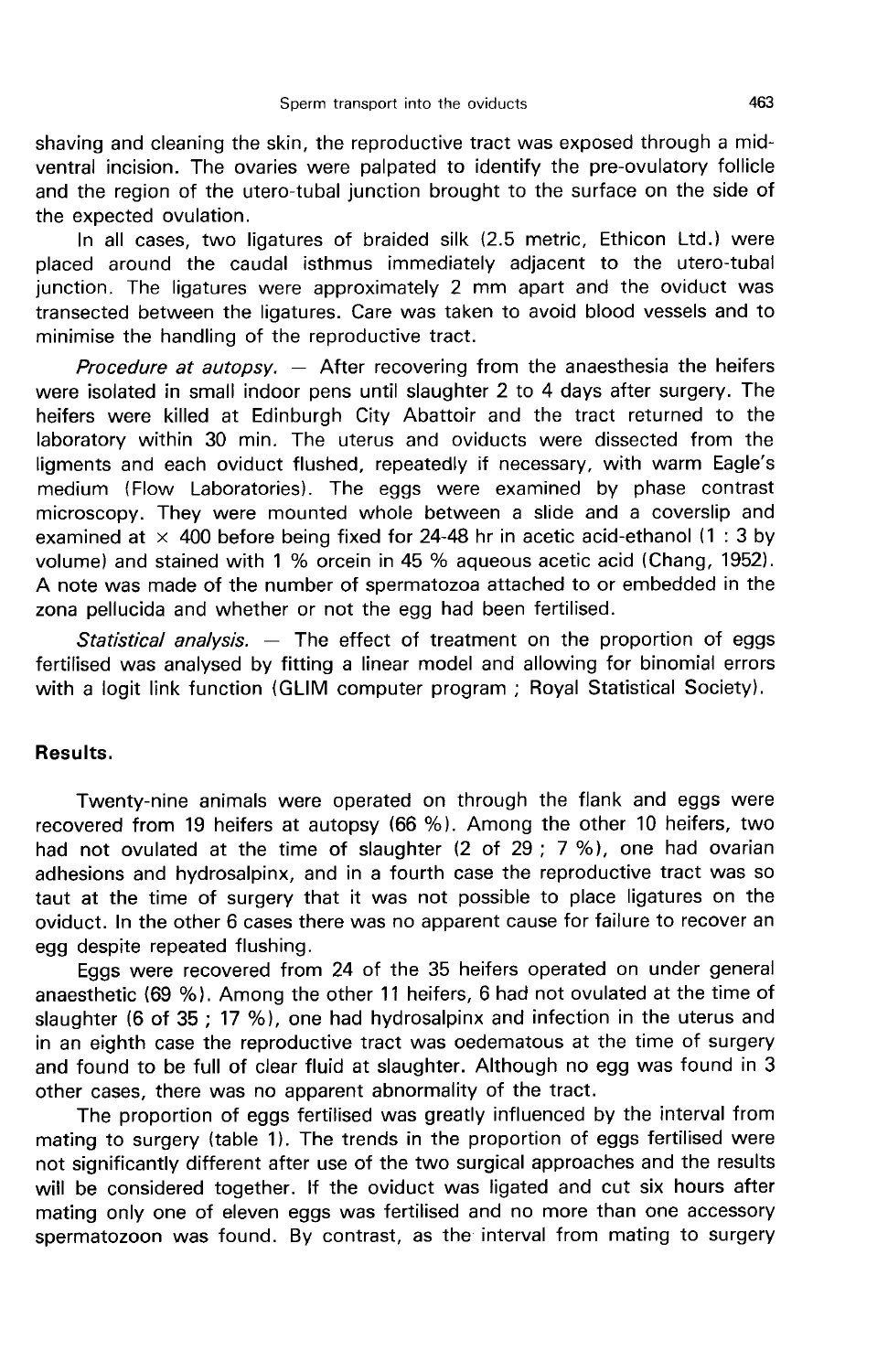shaving and cleaning the skin, the reproductive tract was exposed through a midventral incision. The ovaries were palpated to identify the pre-ovulatory follicle and the region of the utero-tubal junction brought to the surface on the side of the expected ovulation.

In all cases, two ligatures of braided silk (2.5 metric, Ethicon Ltd.) were placed around the caudal isthmus immediately adjacent to the utero-tubal junction. The ligatures were approximately 2 mm apart and the oviduct was transected between the ligatures. Care was taken to avoid blood vessels and to minimise the handling of the reproductive tract.

Procedure at autopsy.  $-$  After recovering from the anaesthesia the heifers were isolated in small indoor pens until slaughter 2 to 4 days after surgery. The heifers were killed at Edinburgh City Abattoir and the tract returned to the laboratory within 30 min. The uterus and oviducts were dissected from the ligments and each oviduct flushed, repeatedly if necessary, with warm Eagle's medium (Flow Laboratories). The eggs were examined by phase contrast microscopy. They were mounted whole between a slide and a coverslip and examined at  $\times$  400 before being fixed for 24-48 hr in acetic acid-ethanol (1:3 by volume) and stained with 1 % orcein in 45 % aqueous acetic acid (Chang, 1952). A note was made of the number of spermatozoa attached to or embedded in the zona pellucida and whether or not the egg had been fertilised.

Statistical analysis.  $-$  The effect of treatment on the proportion of eggs fertilised was analysed by fitting a linear model and allowing for binomial errors with a logit link function (GLIM computer program ; Royal Statistical Society).

### Results.

Twenty-nine animals were operated on through the flank and eggs were recovered from 19 heifers at autopsy (66 %). Among the other 10 heifers, two had not ovulated at the time of slaughter (2 of 29 ; 7 %), one had ovarian adhesions and hydrosalpinx, and in a fourth case the reproductive tract was so taut at the time of surgery that it was not possible to place ligatures on the oviduct. In the other 6 cases there was no apparent cause for failure to recover an egg despite repeated flushing.

Eggs were recovered from 24 of the 35 heifers operated on under general anaesthetic (69 %). Among the other 11 heifers, 6 had not ovulated at the time of slaughter (6 of 35 ; 17 %), one had hydrosalpinx and infection in the uterus and in an eighth case the reproductive tract was oedematous at the time of surgery and found to be full of clear fluid at slaughter. Although no egg was found in 3 other cases, there was no apparent abnormality of the tract.

The proportion of eggs fertilised was greatly influenced by the interval from mating to surgery (table 1). The trends in the proportion of eggs fertilised were not significantly different after use of the two surgical approaches and the results will be considered together. If the oviduct was ligated and cut six hours after mating only one of eleven eggs was fertilised and no more than one accessory spermatozoon was found. By contrast, as the interval from mating to surgery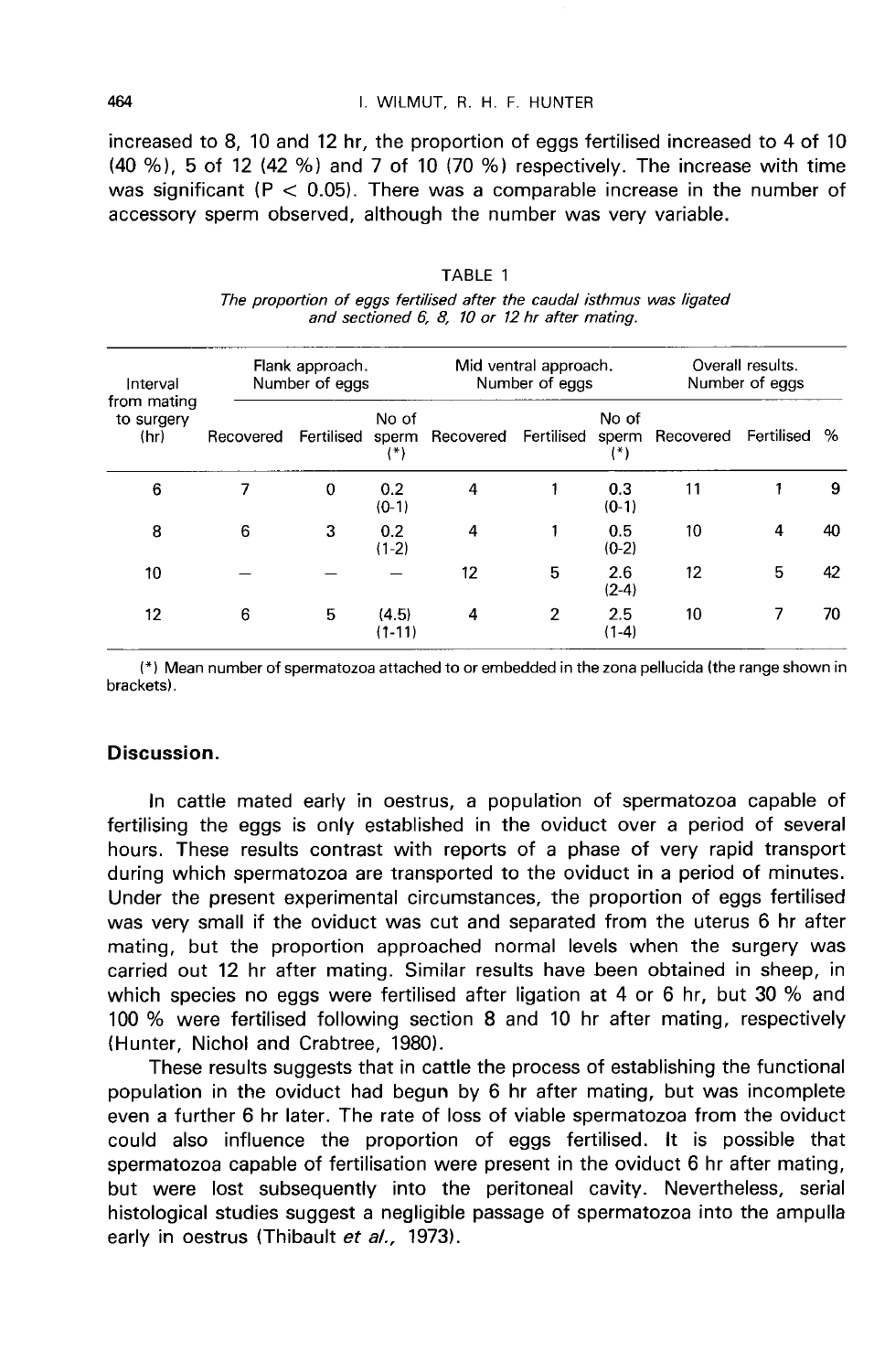#### I. WILMUT. R. H. F. HUNTER

increased to 8, 10 and 12 hr, the proportion of eggs fertilised increased to 4 of 10 (40 %), 5 of 12 (42 %) and 7 of 10 (70 %) respectively. The increase with time was significant ( $P < 0.05$ ). There was a comparable increase in the number of accessory sperm observed, although the number was very variable.

| Interval<br>from mating<br>to surgery<br>(hr) | Flank approach.<br>Number of eggs |            |                   | Mid ventral approach.<br>Number of eggs |            |                         | Overall results.<br>Number of eggs |   |    |
|-----------------------------------------------|-----------------------------------|------------|-------------------|-----------------------------------------|------------|-------------------------|------------------------------------|---|----|
|                                               | Recovered                         | Fertilised | No of<br>(*)      | sperm Recovered                         | Fertilised | No of<br>sperm<br>$(*)$ | Recovered Fertilised               |   | %  |
| 6                                             | 7                                 | 0          | 0.2<br>$(0-1)$    | 4                                       |            | 0.3<br>$(0-1)$          | 11                                 |   | 9  |
| 8                                             | 6                                 | 3          | 0.2<br>$(1-2)$    | 4                                       | 1          | 0.5<br>$(0-2)$          | 10                                 | 4 | 40 |
| 10                                            |                                   |            |                   | 12                                      | 5          | 2.6<br>$(2-4)$          | 12                                 | 5 | 42 |
| 12                                            | 6                                 | 5          | (4.5)<br>$(1-11)$ | 4                                       | 2          | 2.5<br>$(1-4)$          | 10                                 |   | 70 |

TABLE 1 The proportion of eggs fertilised after the caudal isthmus was ligated and sectioned 6, 8, 10 or 12 hr after mating.

(\*) Mean number of spermatozoa attached to or embedded in the zona pellucida (the range shown in brackets).

## Discussion.

In cattle mated early in oestrus, a population of spermatozoa capable of fertilising the eggs is only established in the oviduct over a period of several hours. These results contrast with reports of a phase of very rapid transport during which spermatozoa are transported to the oviduct in a period of minutes. Under the present experimental circumstances, the proportion of eggs fertilised was very small if the oviduct was cut and separated from the uterus 6 hr after mating, but the proportion approached normal levels when the surgery was carried out 12 hr after mating. Similar results have been obtained in sheep, in which species no eggs were fertilised after ligation at 4 or 6 hr, but 30 % and 100 % were fertilised following section 8 and 10 hr after mating, respectively (Hunter, Nichol and Crabtree, 1980).

These results suggests that in cattle the process of establishing the functional population in the oviduct had begun by 6 hr after mating, but was incomplete even a further 6 hr later. The rate of loss of viable spermatozoa from the oviduct could also influence the proportion of eggs fertilised. It is possible that spermatozoa capable of fertilisation were present in the oviduct 6 hr after mating, but were lost subsequently into the peritoneal cavity. Nevertheless, serial histological studies suggest a negligible passage of spermatozoa into the ampulla early in oestrus (Thibault et al., 1973).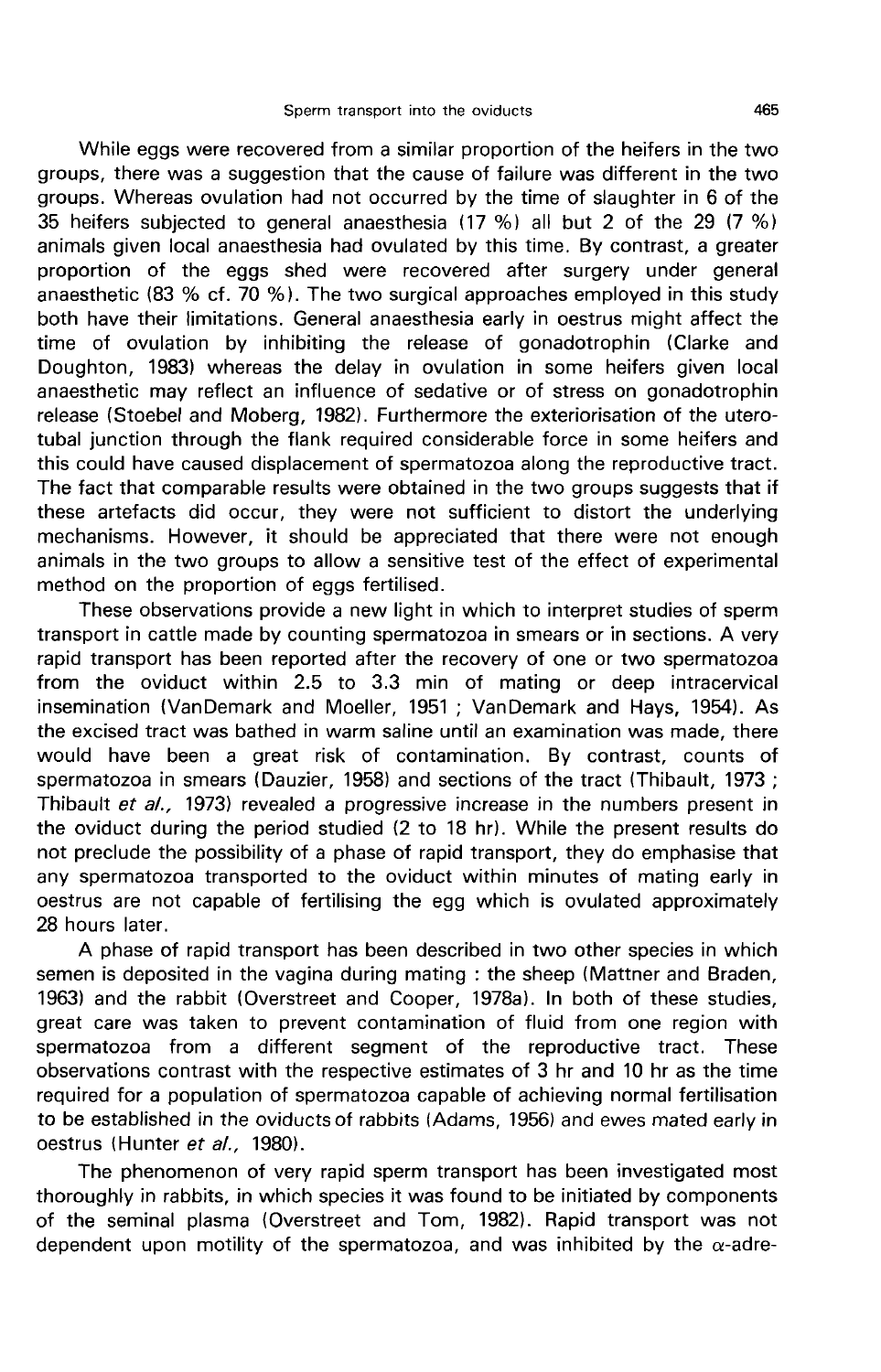While eggs were recovered from a similar proportion of the heifers in the two groups, there was a suggestion that the cause of failure was different in the two groups. Whereas ovulation had not occurred by the time of slaughter in 6 of the 35 heifers subjected to general anaesthesia (17 %) all but 2 of the 29 (7 %) animals given local anaesthesia had ovulated by this time. By contrast, a greater proportion of the eggs shed were recovered after surgery under general anaesthetic (83 % cf.  $70$  %). The two surgical approaches employed in this study both have their limitations. General anaesthesia early in oestrus might affect the time of ovulation by inhibiting the release of gonadotrophin (Clarke and Doughton, 1983) whereas the delay in ovulation in some heifers given local anaesthetic may reflect an influence of sedative or of stress on gonadotrophin release (Stoebel and Moberg, 1982). Furthermore the exteriorisation of the uterotubal junction through the flank required considerable force in some heifers and this could have caused displacement of spermatozoa along the reproductive tract. The fact that comparable results were obtained in the two groups suggests that if these artefacts did occur, they were not sufficient to distort the underlying mechanisms. However, it should be appreciated that there were not enough animals in the two groups to allow a sensitive test of the effect of experimental method on the proportion of eggs fertilised.

These observations provide a new light in which to interpret studies of sperm transport in cattle made by counting spermatozoa in smears or in sections. A very rapid transport has been reported after the recovery of one or two spermatozoa from the oviduct within 2.5 to 3.3 min of mating or deep intracervical insemination (VanDemark and Moeller, 1951 ; VanDemark and Hays, 1954). As the excised tract was bathed in warm saline until an examination was made, there would have been a great risk of contamination. By contrast, counts of spermatozoa in smears (Dauzier, 1958) and sections of the tract (Thibault, 1973 ; Thibault et al., 1973) revealed a progressive increase in the numbers present in the oviduct during the period studied (2 to 18 hr). While the present results do not preclude the possibility of a phase of rapid transport, they do emphasise that any spermatozoa transported to the oviduct within minutes of mating early in oestrus are not capable of fertilising the egg which is ovulated approximately 28 hours later.

A phase of rapid transport has been described in two other species in which semen is deposited in the vagina during mating : the sheep (Mattner and Braden, 1963) and the rabbit (Overstreet and Cooper, 1978a). In both of these studies, great care was taken to prevent contamination of fluid from one region with spermatozoa from a different segment of the reproductive tract. These observations contrast with the respective estimates of 3 hr and 10 hr as the time required for a population of spermatozoa capable of achieving normal fertilisation to be established in the oviducts of rabbits (Adams, 1956) and ewes mated early in oestrus (Hunter et al., 1980).

The phenomenon of very rapid sperm transport has been investigated most thoroughly in rabbits, in which species it was found to be initiated by components of the seminal plasma (Overstreet and Tom, 1982). Rapid transport was not dependent upon motility of the spermatozoa, and was inhibited by the  $\alpha$ -adre-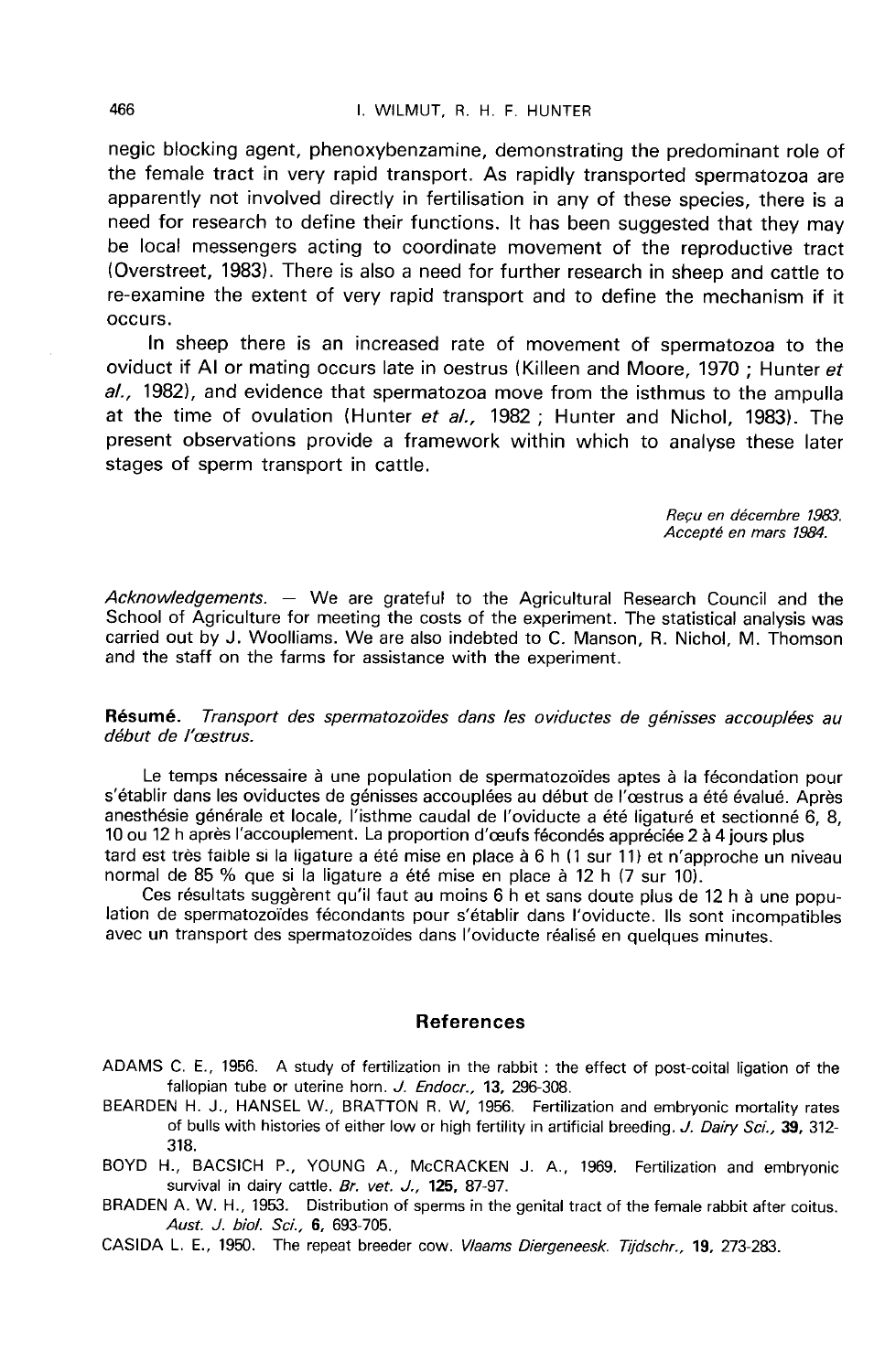negic blocking agent, phenoxybenzamine, demonstrating the predominant role of the female tract in very rapid transport. As rapidly transported spermatozoa are apparently not involved directly in fertilisation in any of these species, there is a need for research to define their functions. It has been suggested that they may be local messengers acting to coordinate movement of the reproductive tract (Overstreet, 1983). There is also a need for further research in sheep and cattle to re-examine the extent of very rapid transport and to define the mechanism if it occurs.

In sheep there is an increased rate of movement of spermatozoa to the oviduct if Al or mating occurs late in oestrus (Killeen and Moore, 1970 ; Hunter et al., 1982), and evidence that spermatozoa move from the isthmus to the ampulla at the time of ovulation (Hunter et al., 1982; Hunter and Nichol, 1983). The present observations provide a framework within which to analyse these later stages of sperm transport in cattle.

> Reçu en décembre 1983. Accepte en mars 1984.

Acknowledgements. — We are grateful to the Agricultural Research Council and the School of Agriculture for meeting the costs of the experiment. The statistical analysis was carried out by J. Woolliams. We are also indebted to C. Manson, R. Nichol, M. Thomson and the staff on the farms for assistance with the experiment.

Résumé. Transport des spermatozoïdes dans les oviductes de génisses accouplées au début de l'œstrus.

Le temps nécessaire à une population de spermatozoïdes aptes à la fécondation pour s'établir dans les oviductes de génisses accouplées au début de l'oestrus a été évalué. Après anesthésie générale et locale, l'isthme caudal de l'oviducte a été ligaturé et sectionné 6, 8, 10 ou 12 h après l'accouplement. La proportion d'ceufs fécondés appréciée 2 à 4 jours plus tard est très faible si la ligature a été mise en place à 6 h (1 sur 11) et n'approche un niveau

normal de 85 % que si la ligature a été mise en place à 12 h (7 sur 10). lation de spermatozoïdes fécondants pour s'établir dans l'oviducte. Ils sont incompatibles<br>avec un transport des spermatozoïdes dans l'oviducte réalisé en quelques minutes.

#### References

- ADAMS C. E., 1956. A study of fertilization in the rabbit : the effect of post-coital ligation of the fallopian tube or uterine horn. J. Endocr., 13, 296-308.
- BEARDEN H. J., HANSEL W., BRATTON R. W, 1956. Fertilization and embryonic mortality rates of bulls with histories of either low or high fertility in artificial breeding. J. Dairy Sci., 39, 312-318.
- BOYD H., BACSICH P., YOUNG A., McCRACKEN J. A., 1969. Fertilization and embryonic survival in dairy cattle. Br. vet. J., 125, 87-97.
- BRADEN A. W. H., 1953. Distribution of sperms in the genital tract of the female rabbit after coitus. Aust. J. biol. Sci., 6, 693-705.
- CASIDA L. E., 1950. The repeat breeder cow. Vlaams Diergeneesk. Tijdschr., 19, 273-283.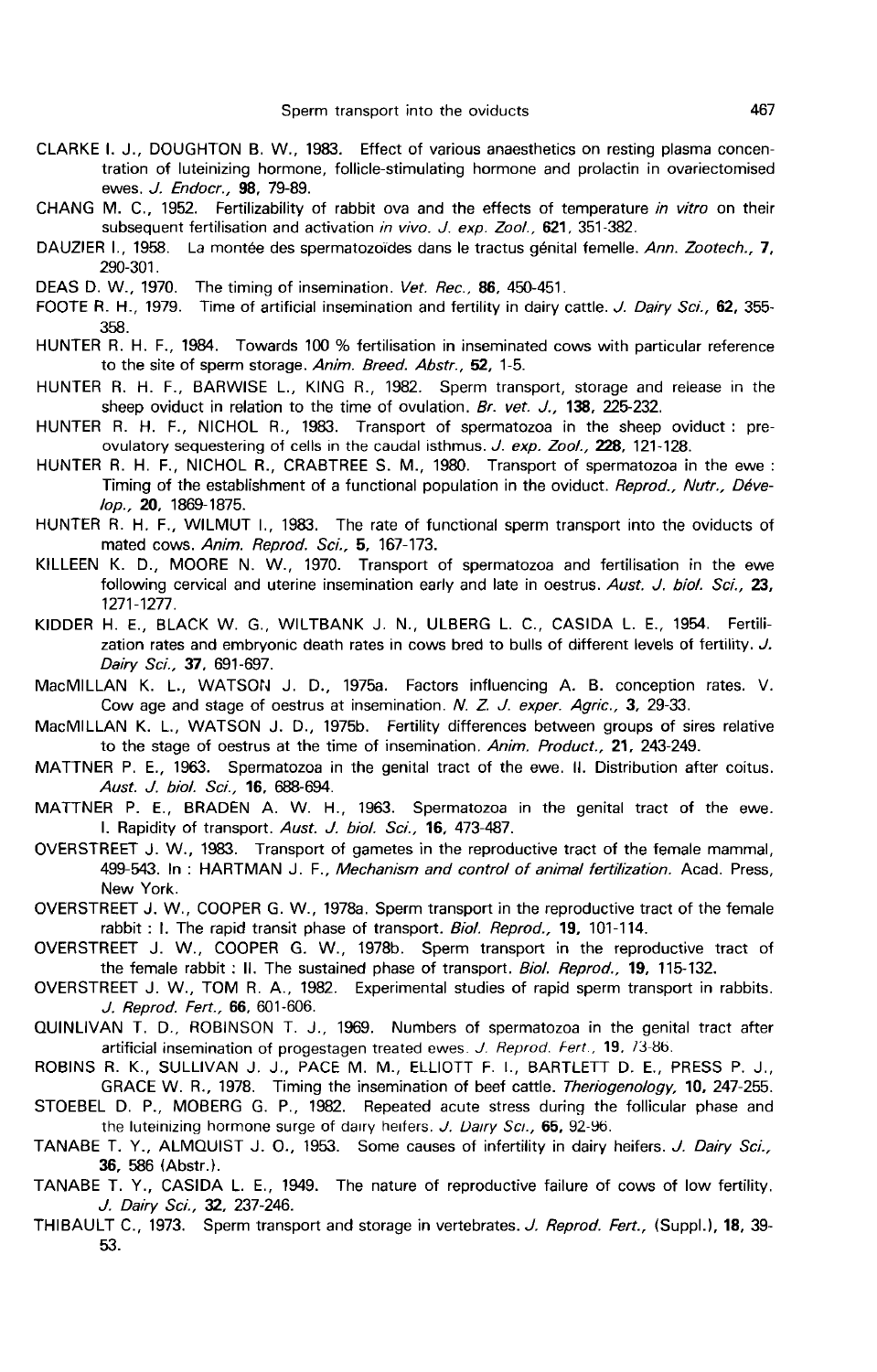- CLARKE I. J., DOUGHTON B. W., 1983. Effect of various anaesthetics on resting plasma concentration of luteinizing hormone, follicle-stimulating hormone and prolactin in ovariectomised ewes. J. Endocr., 98, 79-89. Sperm transport into the oviducts and the CLARKE I. J., DOUGHTON B. W., 1983. Effect of various anaesthetics on resting plasma concentration of luteinizing hormone, follicle-stimulating hormone and prolactin in ovariectomi
- CHANG M. C., 1952. Fertilizability of rabbit ova and the effects of temperature in vitro on their subsequent fertilisation and activation in vivo. J. exp. Zool., 621, 351-382.
- 290-301.
- DEAS D. W., 1970. The timing of insemination. Vet. Rec., 86, 450-451.
- FOOTE R. H., 1979. Time of artificial insemination and fertility in dairy cattle. J. Dairy Sci., 62, 355-358.
- HUNTER R. H. F., 1984. Towards 100 % fertilisation in inseminated cows with particular reference to the site of sperm storage. Anim. Breed. Abstr., 52, 1-5.
- HUNTER R. H. F., BARWISE L., KING R., 1982. Sperm transport, storage and release in the sheep oviduct in relation to the time of ovulation. Br. vet. J., 138, 225-232.
- HUNTER R. H. F., NICHOL R., 1983. Transport of spermatozoa in the sheep oviduct : preovulatory sequestering of cells in the caudal isthmus. J. exp. Zool., 228, 121-128.
- HUNTER R. H. F., NICHOL R., CRABTREE S. M., 1980. Transport of spermatozoa in the ewe : Timing of the establishment of a functional population in the oviduct. Reprod., Nutr., Déve-/op., 20, 1869-1875.
- HUNTER R. H. F., WILMUT 1., 1983. The rate of functional sperm transport into the oviducts of mated cows. Anim. Reprod. Sci., 5, 167-173.
- KILLEEN K. D., MOORE N. W., 1970. Transport of spermatozoa and fertilisation in the ewe following cervical and uterine insemination early and late in oestrus. Aust. J. biol. Sci., 23. 1271-1277.
- KIDDER H. E., BLACK W. G., WILTBANK J. N., ULBERG L. C., CASIDA L. E., 1954. Fertilization rates and embryonic death rates in cows bred to bulls of different levels of fertility. J. Dairy Sci., 37, 691-697.
- MacMILLAN K. L., WATSON J. D., 1975a. Factors influencing A. B. conception rates. V. Cow age and stage of oestrus at insemination. N. Z. J. exper. Agric., 3, 29-33.
- MacMILLAN K. L., WATSON J. D., 1975b. Fertility differences between groups of sires relative to the stage of oestrus at the time of insemination. Anim. Product., 21, 243-249.
- MATTNER P. E., 1963. Spermatozoa in the genital tract of the ewe. 11. Distribution after coitus. Aust. J. biol. Sci., 16, 688-694.
- MATTNER P. E., BRADEN A. W. H., 1963. Spermatozoa in the genital tract of the ewe. I. Rapidity of transport. Aust. J. bio/. Sci., 16, 473-487.
- OVERSTREET J. W., 1983. Transport of gametes in the reproductive tract of the female mammal, 499-543. In: HARTMAN J. F., Mechanism and control of animal fertilization. Acad. Press, New York.
- OVERSTREET J. W., COOPER G. W., 1978a. Sperm transport in the reproductive tract of the female rabbit : I. The rapid transit phase of transport. Biol. Reprod., 19, 101-114.
- OVERSTREET J. W., COOPER G. W., 1978b. Sperm transport in the reproductive tract of the female rabbit : II. The sustained phase of transport. Biol. Reprod., 19, 115-132.
- OVERSTREET J. W., TOM R. A., 1982. Experimental studies of rapid sperm transport in rabbits. J. Reprod. Fert., 66, 601-606.
- QUINLIVAN T. D., ROBINSON T. J., 1969. Numbers of spermatozoa in the genital tract after artificial insemination of progestagen treated ewes. J. Reprod. Fert.,  $19$ ,  $73-86$ .
- ROBINS R. K., SULLIVAN J. J., PACE M. M., ELLIOTT F. I., BARTLETT D. E., PRESS P. J., GRACE W. R., 1978. Timing the insemination of beef cattle. Theriogenology, 10, 247-255.
- STOEBEL D. P., MOBERG G. P., 1982. Repeated acute stress during the follicular phase and<br>the luteinizing hormone surge of dairy heres. J. Dairy Sci., 65, 92-96.<br>TANABE T. Y. ALMOLUST L.O. 1963. Some gauge of infortility in
- TANABE T. Y., ALMQUIST J. O., 1953. Some causes of infertility in dairy heifers. J. Dairy Sci., 36, 586 (Abstr.).
- TANABE T. Y., CASIDA L. E., 1949. The nature of reproductive failure of cows of low fertility. J. Dairy Sci., 32, 237-246.
- THIBAULT C., 1973. Sperm transport and storage in vertebrates. J. Reprod. Fert., (Suppl.), 18, 39-53.